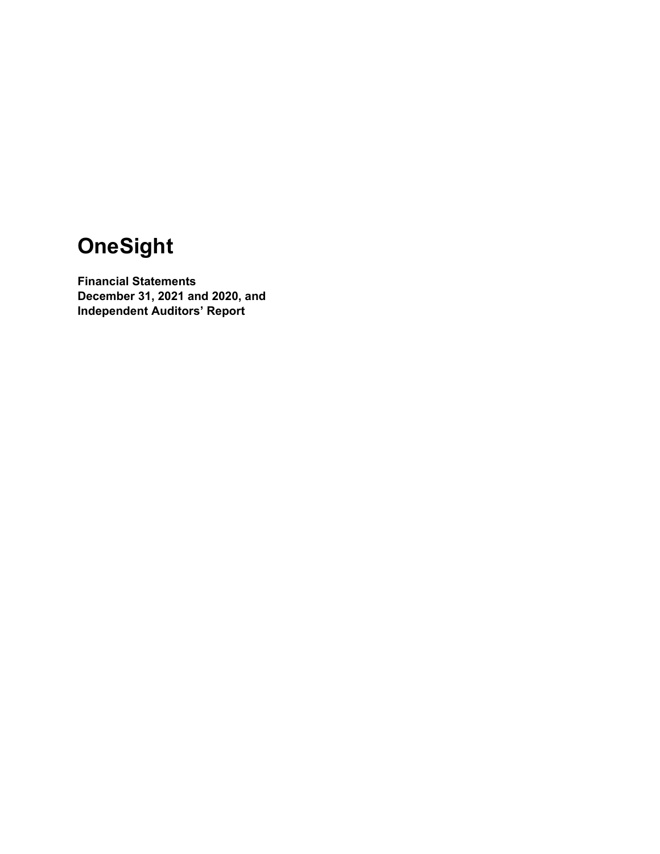# **OneSight**

**Financial Statements December 31, 2021 and 2020, and Independent Auditors' Report**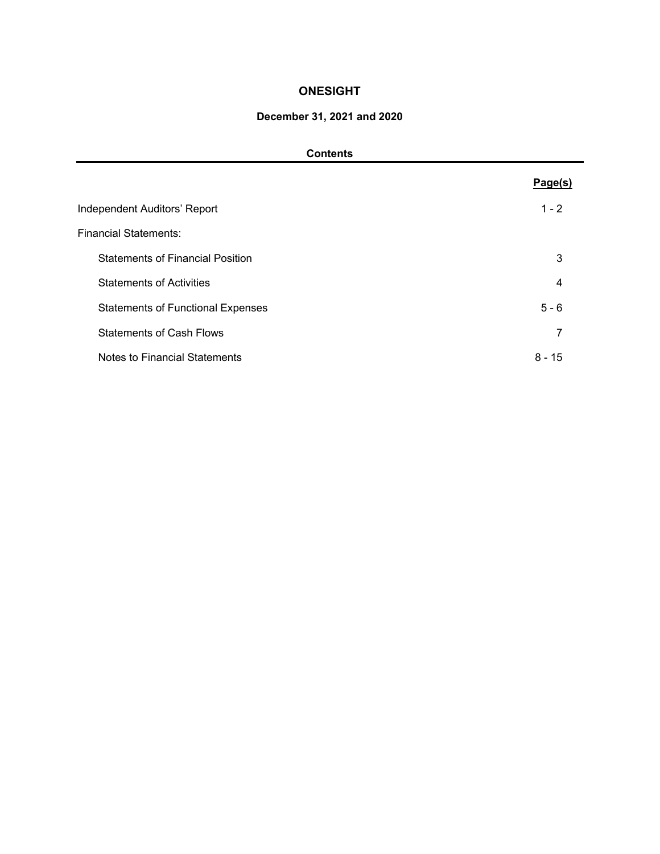# **December 31, 2021 and 2020**

| Contents |
|----------|
|----------|

|                                          | Page(s)        |
|------------------------------------------|----------------|
| Independent Auditors' Report             | $1 - 2$        |
| <b>Financial Statements:</b>             |                |
| <b>Statements of Financial Position</b>  | 3              |
| <b>Statements of Activities</b>          | $\overline{4}$ |
| <b>Statements of Functional Expenses</b> | $5 - 6$        |
| <b>Statements of Cash Flows</b>          | 7              |
| Notes to Financial Statements            | $8 - 15$       |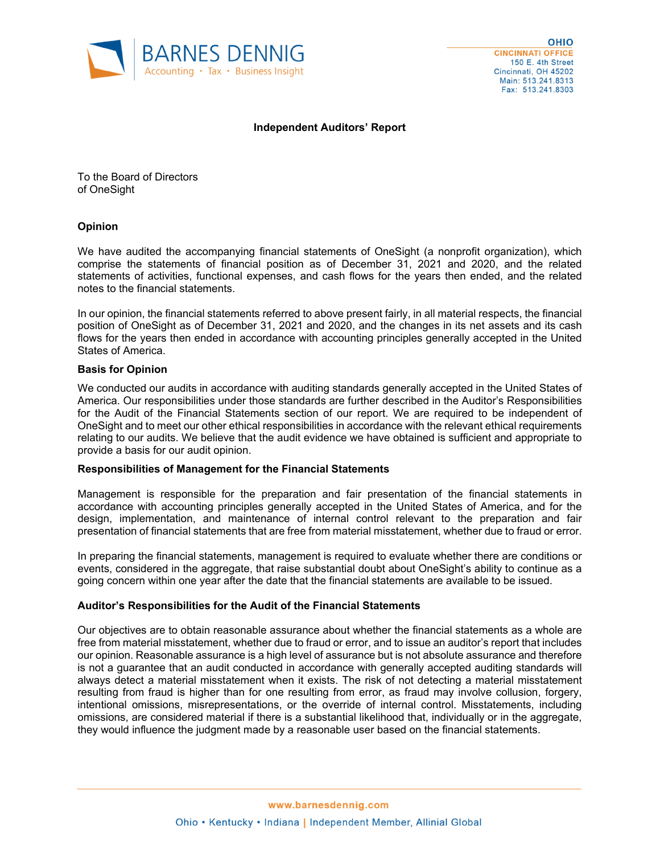

**OHIO CINCINNATI OFFICE** 150 E. 4th Street Cincinnati, OH 45202 Main: 513 241 8313 Fax: 513.241.8303

#### **Independent Auditors' Report**

To the Board of Directors of OneSight

#### **Opinion**

We have audited the accompanying financial statements of OneSight (a nonprofit organization), which comprise the statements of financial position as of December 31, 2021 and 2020, and the related statements of activities, functional expenses, and cash flows for the years then ended, and the related notes to the financial statements.

In our opinion, the financial statements referred to above present fairly, in all material respects, the financial position of OneSight as of December 31, 2021 and 2020, and the changes in its net assets and its cash flows for the years then ended in accordance with accounting principles generally accepted in the United States of America.

#### **Basis for Opinion**

We conducted our audits in accordance with auditing standards generally accepted in the United States of America. Our responsibilities under those standards are further described in the Auditor's Responsibilities for the Audit of the Financial Statements section of our report. We are required to be independent of OneSight and to meet our other ethical responsibilities in accordance with the relevant ethical requirements relating to our audits. We believe that the audit evidence we have obtained is sufficient and appropriate to provide a basis for our audit opinion.

## **Responsibilities of Management for the Financial Statements**

Management is responsible for the preparation and fair presentation of the financial statements in accordance with accounting principles generally accepted in the United States of America, and for the design, implementation, and maintenance of internal control relevant to the preparation and fair presentation of financial statements that are free from material misstatement, whether due to fraud or error.

In preparing the financial statements, management is required to evaluate whether there are conditions or events, considered in the aggregate, that raise substantial doubt about OneSight's ability to continue as a going concern within one year after the date that the financial statements are available to be issued.

#### **Auditor's Responsibilities for the Audit of the Financial Statements**

Our objectives are to obtain reasonable assurance about whether the financial statements as a whole are free from material misstatement, whether due to fraud or error, and to issue an auditor's report that includes our opinion. Reasonable assurance is a high level of assurance but is not absolute assurance and therefore is not a guarantee that an audit conducted in accordance with generally accepted auditing standards will always detect a material misstatement when it exists. The risk of not detecting a material misstatement resulting from fraud is higher than for one resulting from error, as fraud may involve collusion, forgery, intentional omissions, misrepresentations, or the override of internal control. Misstatements, including omissions, are considered material if there is a substantial likelihood that, individually or in the aggregate, they would influence the judgment made by a reasonable user based on the financial statements.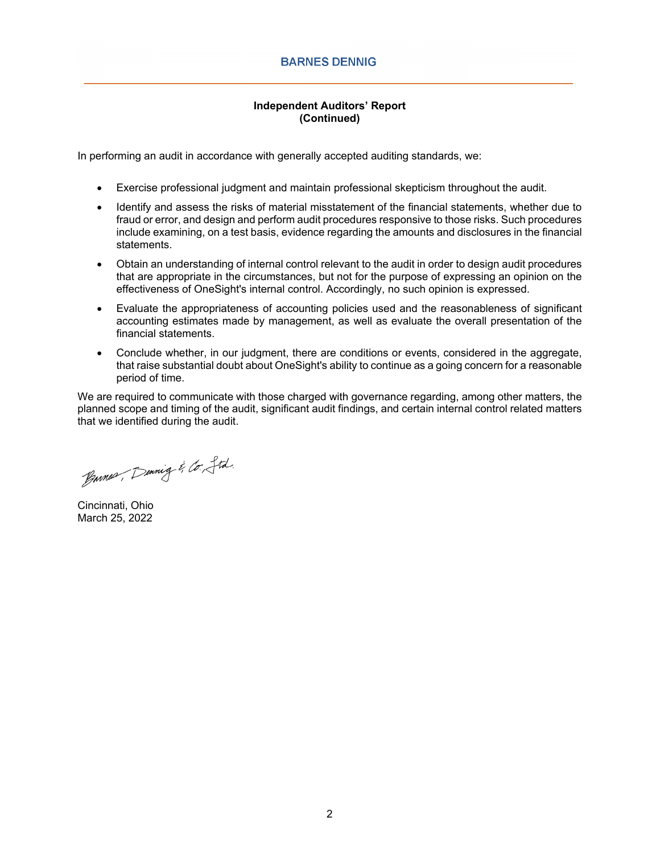## **Independent Auditors' Report (Continued)**

In performing an audit in accordance with generally accepted auditing standards, we:

- Exercise professional judgment and maintain professional skepticism throughout the audit.
- Identify and assess the risks of material misstatement of the financial statements, whether due to fraud or error, and design and perform audit procedures responsive to those risks. Such procedures include examining, on a test basis, evidence regarding the amounts and disclosures in the financial statements.
- Obtain an understanding of internal control relevant to the audit in order to design audit procedures that are appropriate in the circumstances, but not for the purpose of expressing an opinion on the effectiveness of OneSight's internal control. Accordingly, no such opinion is expressed.
- Evaluate the appropriateness of accounting policies used and the reasonableness of significant accounting estimates made by management, as well as evaluate the overall presentation of the financial statements.
- Conclude whether, in our judgment, there are conditions or events, considered in the aggregate, that raise substantial doubt about OneSight's ability to continue as a going concern for a reasonable period of time.

We are required to communicate with those charged with governance regarding, among other matters, the planned scope and timing of the audit, significant audit findings, and certain internal control related matters that we identified during the audit.

Gunner, Denning & Co., Std.

Cincinnati, Ohio March 25, 2022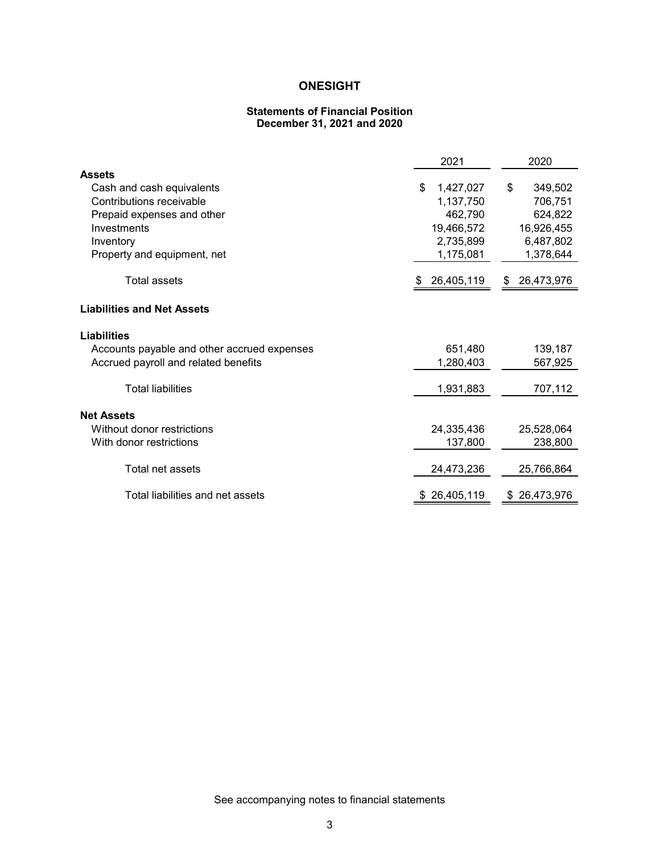## **Statements of Financial Position December 31, 2021 and 2020**

| \$<br>1,427,027<br>\$<br>349,502<br>Cash and cash equivalents<br>Contributions receivable<br>1,137,750<br>706,751<br>Prepaid expenses and other<br>462,790<br>624,822<br>Investments<br>19,466,572<br>16,926,455<br>2,735,899<br>6,487,802<br>Inventory<br>1,175,081<br>1,378,644<br>Property and equipment, net<br>Total assets<br>26,405,119<br>26,473,976<br>S<br>\$<br><b>Liabilities and Net Assets</b><br>Liabilities<br>651,480<br>139,187<br>Accounts payable and other accrued expenses<br>Accrued payroll and related benefits<br>1,280,403<br>567,925<br><b>Total liabilities</b><br>1,931,883<br>707,112<br><b>Net Assets</b><br>24,335,436<br>Without donor restrictions<br>25,528,064<br>With donor restrictions<br>238,800<br>137,800<br>Total net assets<br>24,473,236<br>25,766,864<br>Total liabilities and net assets<br>26,405,119<br>\$26,473,976<br>S. |               | 2021 | 2020 |
|------------------------------------------------------------------------------------------------------------------------------------------------------------------------------------------------------------------------------------------------------------------------------------------------------------------------------------------------------------------------------------------------------------------------------------------------------------------------------------------------------------------------------------------------------------------------------------------------------------------------------------------------------------------------------------------------------------------------------------------------------------------------------------------------------------------------------------------------------------------------------|---------------|------|------|
|                                                                                                                                                                                                                                                                                                                                                                                                                                                                                                                                                                                                                                                                                                                                                                                                                                                                              | <b>Assets</b> |      |      |
|                                                                                                                                                                                                                                                                                                                                                                                                                                                                                                                                                                                                                                                                                                                                                                                                                                                                              |               |      |      |
|                                                                                                                                                                                                                                                                                                                                                                                                                                                                                                                                                                                                                                                                                                                                                                                                                                                                              |               |      |      |
|                                                                                                                                                                                                                                                                                                                                                                                                                                                                                                                                                                                                                                                                                                                                                                                                                                                                              |               |      |      |
|                                                                                                                                                                                                                                                                                                                                                                                                                                                                                                                                                                                                                                                                                                                                                                                                                                                                              |               |      |      |
|                                                                                                                                                                                                                                                                                                                                                                                                                                                                                                                                                                                                                                                                                                                                                                                                                                                                              |               |      |      |
|                                                                                                                                                                                                                                                                                                                                                                                                                                                                                                                                                                                                                                                                                                                                                                                                                                                                              |               |      |      |
|                                                                                                                                                                                                                                                                                                                                                                                                                                                                                                                                                                                                                                                                                                                                                                                                                                                                              |               |      |      |
|                                                                                                                                                                                                                                                                                                                                                                                                                                                                                                                                                                                                                                                                                                                                                                                                                                                                              |               |      |      |
|                                                                                                                                                                                                                                                                                                                                                                                                                                                                                                                                                                                                                                                                                                                                                                                                                                                                              |               |      |      |
|                                                                                                                                                                                                                                                                                                                                                                                                                                                                                                                                                                                                                                                                                                                                                                                                                                                                              |               |      |      |
|                                                                                                                                                                                                                                                                                                                                                                                                                                                                                                                                                                                                                                                                                                                                                                                                                                                                              |               |      |      |
|                                                                                                                                                                                                                                                                                                                                                                                                                                                                                                                                                                                                                                                                                                                                                                                                                                                                              |               |      |      |
|                                                                                                                                                                                                                                                                                                                                                                                                                                                                                                                                                                                                                                                                                                                                                                                                                                                                              |               |      |      |
|                                                                                                                                                                                                                                                                                                                                                                                                                                                                                                                                                                                                                                                                                                                                                                                                                                                                              |               |      |      |
|                                                                                                                                                                                                                                                                                                                                                                                                                                                                                                                                                                                                                                                                                                                                                                                                                                                                              |               |      |      |
|                                                                                                                                                                                                                                                                                                                                                                                                                                                                                                                                                                                                                                                                                                                                                                                                                                                                              |               |      |      |
|                                                                                                                                                                                                                                                                                                                                                                                                                                                                                                                                                                                                                                                                                                                                                                                                                                                                              |               |      |      |
|                                                                                                                                                                                                                                                                                                                                                                                                                                                                                                                                                                                                                                                                                                                                                                                                                                                                              |               |      |      |
|                                                                                                                                                                                                                                                                                                                                                                                                                                                                                                                                                                                                                                                                                                                                                                                                                                                                              |               |      |      |
|                                                                                                                                                                                                                                                                                                                                                                                                                                                                                                                                                                                                                                                                                                                                                                                                                                                                              |               |      |      |
|                                                                                                                                                                                                                                                                                                                                                                                                                                                                                                                                                                                                                                                                                                                                                                                                                                                                              |               |      |      |
|                                                                                                                                                                                                                                                                                                                                                                                                                                                                                                                                                                                                                                                                                                                                                                                                                                                                              |               |      |      |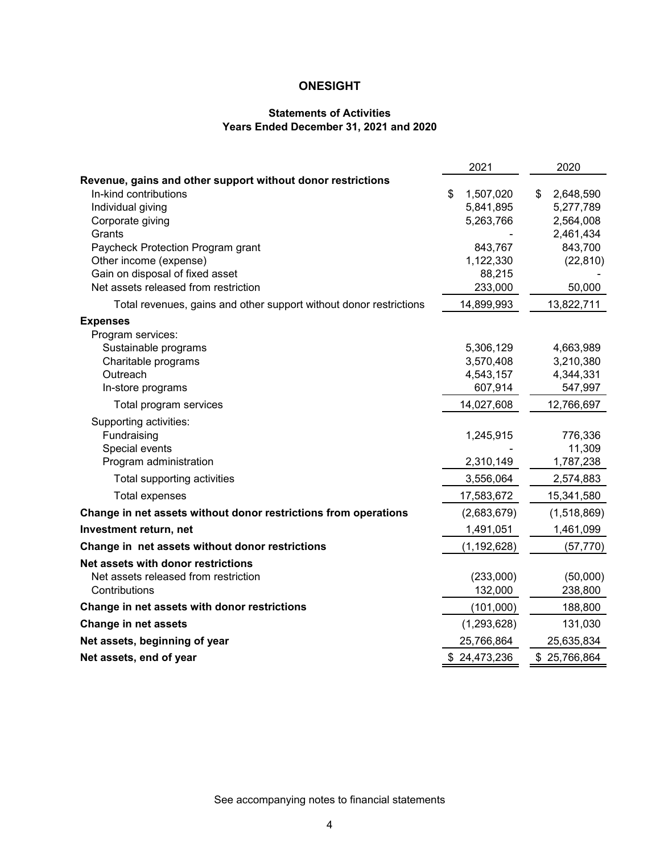## **Statements of Activities Years Ended December 31, 2021 and 2020**

|                                                                    | 2021            | 2020           |
|--------------------------------------------------------------------|-----------------|----------------|
| Revenue, gains and other support without donor restrictions        |                 |                |
| In-kind contributions                                              | 1,507,020<br>\$ | 2,648,590<br>S |
| Individual giving                                                  | 5,841,895       | 5,277,789      |
| Corporate giving                                                   | 5,263,766       | 2,564,008      |
| Grants                                                             |                 | 2,461,434      |
| Paycheck Protection Program grant                                  | 843,767         | 843,700        |
| Other income (expense)                                             | 1,122,330       | (22, 810)      |
| Gain on disposal of fixed asset                                    | 88,215          |                |
| Net assets released from restriction                               | 233,000         | 50,000         |
| Total revenues, gains and other support without donor restrictions | 14,899,993      | 13,822,711     |
| <b>Expenses</b>                                                    |                 |                |
| Program services:                                                  |                 |                |
| Sustainable programs                                               | 5,306,129       | 4,663,989      |
| Charitable programs                                                | 3,570,408       | 3,210,380      |
| Outreach                                                           | 4,543,157       | 4,344,331      |
| In-store programs                                                  | 607,914         | 547,997        |
| Total program services                                             | 14,027,608      | 12,766,697     |
| Supporting activities:                                             |                 |                |
| Fundraising                                                        | 1,245,915       | 776,336        |
| Special events                                                     |                 | 11,309         |
| Program administration                                             | 2,310,149       | 1,787,238      |
| Total supporting activities                                        | 3,556,064       | 2,574,883      |
| Total expenses                                                     | 17,583,672      | 15,341,580     |
| Change in net assets without donor restrictions from operations    | (2,683,679)     | (1,518,869)    |
| Investment return, net                                             | 1,491,051       | 1,461,099      |
| Change in net assets without donor restrictions                    | (1, 192, 628)   | (57, 770)      |
| Net assets with donor restrictions                                 |                 |                |
| Net assets released from restriction                               | (233,000)       | (50,000)       |
| Contributions                                                      | 132,000         | 238,800        |
| Change in net assets with donor restrictions                       | (101,000)       | 188,800        |
| <b>Change in net assets</b>                                        | (1,293,628)     | 131,030        |
| Net assets, beginning of year                                      | 25,766,864      | 25,635,834     |
| Net assets, end of year                                            | \$24,473,236    | \$25,766,864   |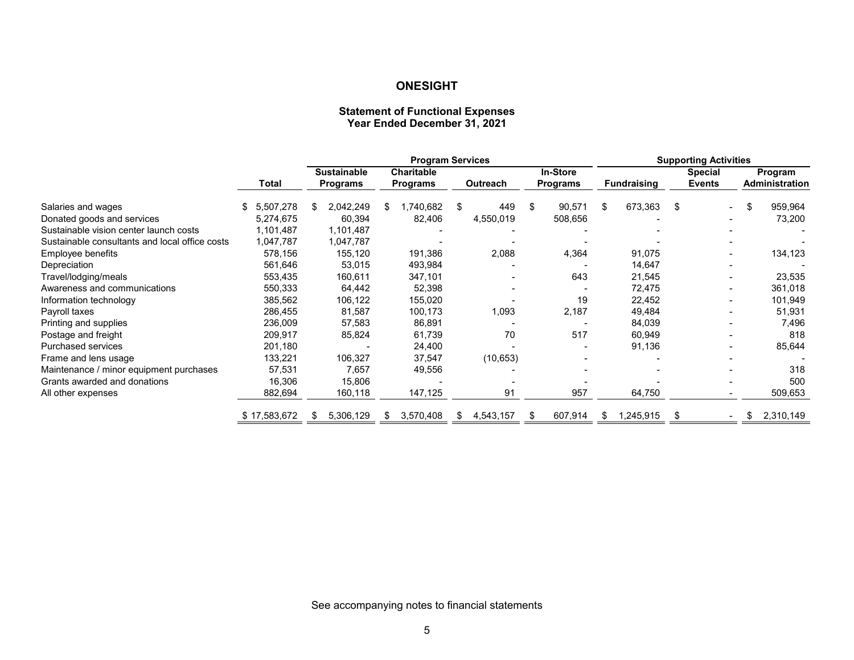#### **Statement of Functional Expenses Year Ended December 31, 2021**

|                                                |              |                                       |                               | <b>Program Services</b> |                             | <b>Supporting Activities</b> |                                 |                           |
|------------------------------------------------|--------------|---------------------------------------|-------------------------------|-------------------------|-----------------------------|------------------------------|---------------------------------|---------------------------|
|                                                | Total        | <b>Sustainable</b><br><b>Programs</b> | <b>Charitable</b><br>Programs | Outreach                | In-Store<br><b>Programs</b> | <b>Fundraising</b>           | <b>Special</b><br><b>Events</b> | Program<br>Administration |
| Salaries and wages                             | 5,507,278    | 2,042,249<br>S.                       | .740,682                      | 449<br>\$.              | 90,571<br>-S                | 673,363<br>\$                | - \$<br>$\blacksquare$          | 959,964<br>-S             |
| Donated goods and services                     | 5,274,675    | 60,394                                | 82,406                        | 4,550,019               | 508,656                     |                              |                                 | 73,200                    |
| Sustainable vision center launch costs         | 1,101,487    | 1,101,487                             |                               |                         |                             |                              |                                 |                           |
| Sustainable consultants and local office costs | 1,047,787    | 1,047,787                             |                               |                         |                             |                              |                                 |                           |
| Employee benefits                              | 578,156      | 155,120                               | 191,386                       | 2,088                   | 4,364                       | 91,075                       |                                 | 134,123                   |
| Depreciation                                   | 561,646      | 53,015                                | 493,984                       |                         |                             | 14,647                       |                                 |                           |
| Travel/lodging/meals                           | 553,435      | 160,611                               | 347,101                       |                         | 643                         | 21,545                       |                                 | 23,535                    |
| Awareness and communications                   | 550,333      | 64,442                                | 52,398                        |                         |                             | 72,475                       |                                 | 361,018                   |
| Information technology                         | 385,562      | 106,122                               | 155,020                       |                         | 19                          | 22,452                       |                                 | 101,949                   |
| Payroll taxes                                  | 286,455      | 81,587                                | 100,173                       | 1,093                   | 2,187                       | 49,484                       |                                 | 51,931                    |
| Printing and supplies                          | 236,009      | 57,583                                | 86,891                        |                         |                             | 84,039                       |                                 | 7,496                     |
| Postage and freight                            | 209,917      | 85,824                                | 61,739                        | 70                      | 517                         | 60,949                       |                                 | 818                       |
| Purchased services                             | 201,180      |                                       | 24,400                        |                         |                             | 91,136                       |                                 | 85,644                    |
| Frame and lens usage                           | 133,221      | 106,327                               | 37,547                        | (10, 653)               |                             |                              |                                 |                           |
| Maintenance / minor equipment purchases        | 57,531       | 7,657                                 | 49,556                        |                         |                             |                              |                                 | 318                       |
| Grants awarded and donations                   | 16,306       | 15,806                                |                               |                         |                             |                              |                                 | 500                       |
| All other expenses                             | 882,694      | 160,118                               | 147,125                       | 91                      | 957                         | 64,750                       |                                 | 509,653                   |
|                                                | \$17,583,672 | 5,306,129                             | 3,570,408<br>S                | 4,543,157<br>S.         | 607,914                     | 1,245,915<br>S               | \$                              | 2,310,149<br>\$           |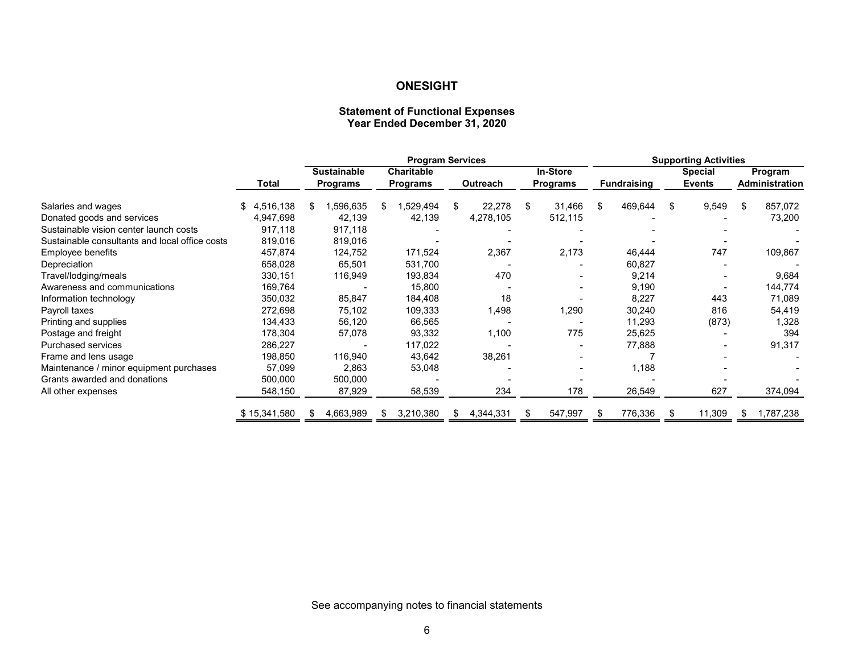#### **Statement of Functional Expenses Year Ended December 31, 2020**

|                                                |              | <b>Program Services</b>               |           |    |                                      |     |                 |      |                             | <b>Supporting Activities</b> |                    |    |                                 |      |                           |
|------------------------------------------------|--------------|---------------------------------------|-----------|----|--------------------------------------|-----|-----------------|------|-----------------------------|------------------------------|--------------------|----|---------------------------------|------|---------------------------|
|                                                | Total        | <b>Sustainable</b><br><b>Programs</b> |           |    | <b>Charitable</b><br><b>Programs</b> |     | <b>Outreach</b> |      | In-Store<br><b>Programs</b> |                              | <b>Fundraising</b> |    | <b>Special</b><br><b>Events</b> |      | Program<br>Administration |
| Salaries and wages                             | 4,516,138    | \$                                    | 1,596,635 | £. | .529,494                             | \$. | 22,278          | - \$ | 31,466                      | -S                           | 469,644            | S. | 9,549                           | - \$ | 857,072                   |
|                                                | 4,947,698    |                                       |           |    |                                      |     |                 |      |                             |                              |                    |    |                                 |      |                           |
| Donated goods and services                     |              |                                       | 42,139    |    | 42,139                               |     | 4,278,105       |      | 512,115                     |                              |                    |    |                                 |      | 73,200                    |
| Sustainable vision center launch costs         | 917,118      |                                       | 917,118   |    |                                      |     |                 |      |                             |                              |                    |    |                                 |      |                           |
| Sustainable consultants and local office costs | 819,016      |                                       | 819,016   |    |                                      |     |                 |      |                             |                              |                    |    |                                 |      |                           |
| Employee benefits                              | 457,874      |                                       | 124,752   |    | 171,524                              |     | 2,367           |      | 2,173                       |                              | 46,444             |    | 747                             |      | 109,867                   |
| Depreciation                                   | 658,028      |                                       | 65,501    |    | 531,700                              |     |                 |      |                             |                              | 60,827             |    |                                 |      |                           |
| Travel/lodging/meals                           | 330,151      |                                       | 116,949   |    | 193,834                              |     | 470             |      |                             |                              | 9,214              |    |                                 |      | 9,684                     |
| Awareness and communications                   | 169,764      |                                       |           |    | 15,800                               |     |                 |      |                             |                              | 9,190              |    |                                 |      | 144,774                   |
| Information technology                         | 350,032      |                                       | 85,847    |    | 184,408                              |     | 18              |      |                             |                              | 8,227              |    | 443                             |      | 71,089                    |
| Payroll taxes                                  | 272,698      |                                       | 75,102    |    | 109,333                              |     | 1,498           |      | 1,290                       |                              | 30,240             |    | 816                             |      | 54,419                    |
| Printing and supplies                          | 134,433      |                                       | 56,120    |    | 66,565                               |     |                 |      |                             |                              | 11,293             |    | (873)                           |      | 1,328                     |
| Postage and freight                            | 178,304      |                                       | 57,078    |    | 93,332                               |     | 1,100           |      | 775                         |                              | 25,625             |    |                                 |      | 394                       |
| <b>Purchased services</b>                      | 286,227      |                                       |           |    | 117,022                              |     |                 |      |                             |                              | 77,888             |    |                                 |      | 91,317                    |
| Frame and lens usage                           | 198,850      |                                       | 116,940   |    | 43,642                               |     | 38,261          |      |                             |                              |                    |    |                                 |      |                           |
| Maintenance / minor equipment purchases        | 57,099       |                                       | 2,863     |    | 53,048                               |     |                 |      |                             |                              | 1,188              |    |                                 |      |                           |
| Grants awarded and donations                   | 500,000      |                                       | 500,000   |    |                                      |     |                 |      |                             |                              |                    |    |                                 |      |                           |
| All other expenses                             | 548,150      |                                       | 87,929    |    | 58,539                               |     | 234             |      | 178                         |                              | 26,549             |    | 627                             |      | 374,094                   |
|                                                | \$15,341,580 |                                       | 4,663,989 | £. | 3,210,380                            | -86 | 4,344,331       |      | 547,997                     |                              | 776,336            |    | 11,309                          |      | 1,787,238                 |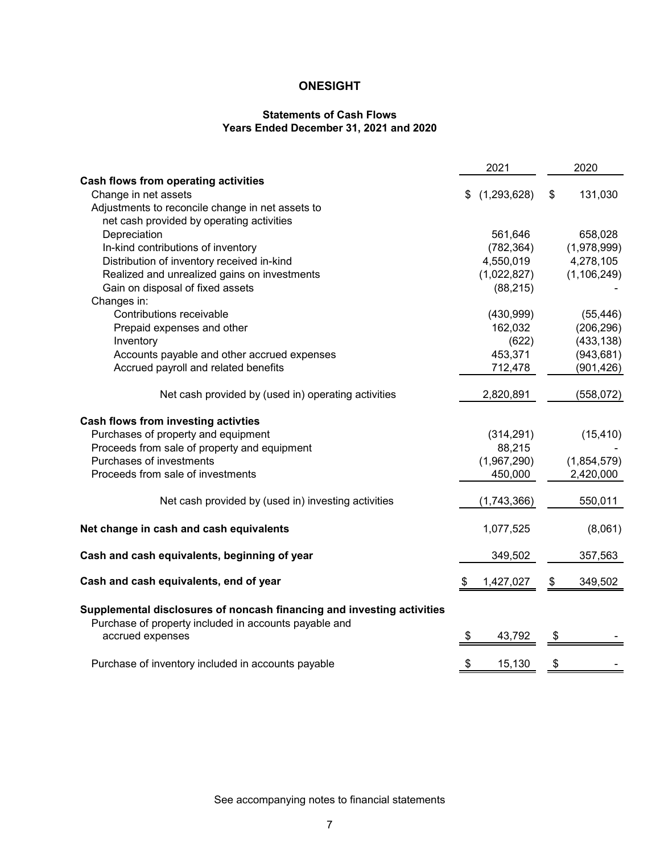## **Statements of Cash Flows Years Ended December 31, 2021 and 2020**

|                                                                                                                                 |     | 2021        |    | 2020          |
|---------------------------------------------------------------------------------------------------------------------------------|-----|-------------|----|---------------|
| Cash flows from operating activities                                                                                            |     |             |    |               |
| Change in net assets                                                                                                            | \$. | (1,293,628) | \$ | 131,030       |
| Adjustments to reconcile change in net assets to                                                                                |     |             |    |               |
| net cash provided by operating activities                                                                                       |     |             |    |               |
| Depreciation                                                                                                                    |     | 561,646     |    | 658,028       |
| In-kind contributions of inventory                                                                                              |     | (782, 364)  |    | (1,978,999)   |
| Distribution of inventory received in-kind                                                                                      |     | 4,550,019   |    | 4,278,105     |
| Realized and unrealized gains on investments                                                                                    |     | (1,022,827) |    | (1, 106, 249) |
| Gain on disposal of fixed assets                                                                                                |     | (88, 215)   |    |               |
| Changes in:                                                                                                                     |     |             |    |               |
| Contributions receivable                                                                                                        |     | (430, 999)  |    | (55, 446)     |
| Prepaid expenses and other                                                                                                      |     | 162,032     |    | (206, 296)    |
| Inventory                                                                                                                       |     | (622)       |    | (433, 138)    |
| Accounts payable and other accrued expenses                                                                                     |     | 453,371     |    | (943, 681)    |
| Accrued payroll and related benefits                                                                                            |     | 712,478     |    | (901,426)     |
| Net cash provided by (used in) operating activities                                                                             |     | 2,820,891   |    | (558, 072)    |
| Cash flows from investing activties                                                                                             |     |             |    |               |
| Purchases of property and equipment                                                                                             |     | (314, 291)  |    | (15, 410)     |
| Proceeds from sale of property and equipment                                                                                    |     | 88,215      |    |               |
| Purchases of investments                                                                                                        |     | (1,967,290) |    | (1,854,579)   |
| Proceeds from sale of investments                                                                                               |     | 450,000     |    | 2,420,000     |
| Net cash provided by (used in) investing activities                                                                             |     | (1,743,366) |    | 550,011       |
| Net change in cash and cash equivalents                                                                                         |     | 1,077,525   |    | (8,061)       |
| Cash and cash equivalents, beginning of year                                                                                    |     | 349,502     |    | 357,563       |
| Cash and cash equivalents, end of year                                                                                          |     | 1,427,027   | \$ | 349,502       |
| Supplemental disclosures of noncash financing and investing activities<br>Purchase of property included in accounts payable and |     |             |    |               |
| accrued expenses                                                                                                                |     | 43,792      | æ. |               |
| Purchase of inventory included in accounts payable                                                                              | \$  | 15,130      | \$ |               |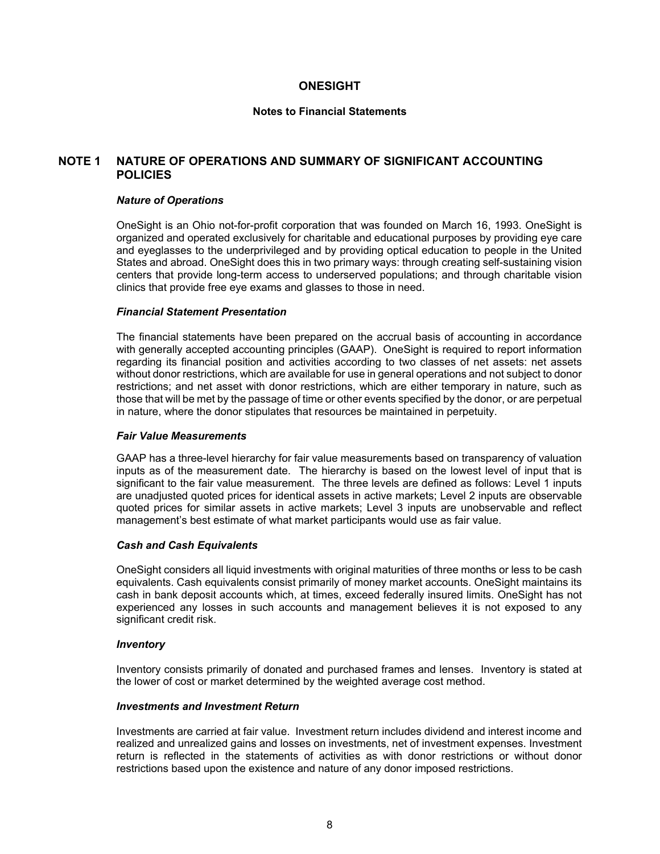#### **Notes to Financial Statements**

## **NOTE 1 NATURE OF OPERATIONS AND SUMMARY OF SIGNIFICANT ACCOUNTING POLICIES**

#### *Nature of Operations*

OneSight is an Ohio not-for-profit corporation that was founded on March 16, 1993. OneSight is organized and operated exclusively for charitable and educational purposes by providing eye care and eyeglasses to the underprivileged and by providing optical education to people in the United States and abroad. OneSight does this in two primary ways: through creating self-sustaining vision centers that provide long-term access to underserved populations; and through charitable vision clinics that provide free eye exams and glasses to those in need.

#### *Financial Statement Presentation*

 The financial statements have been prepared on the accrual basis of accounting in accordance with generally accepted accounting principles (GAAP). OneSight is required to report information regarding its financial position and activities according to two classes of net assets: net assets without donor restrictions, which are available for use in general operations and not subject to donor restrictions; and net asset with donor restrictions, which are either temporary in nature, such as those that will be met by the passage of time or other events specified by the donor, or are perpetual in nature, where the donor stipulates that resources be maintained in perpetuity.

#### *Fair Value Measurements*

 GAAP has a three-level hierarchy for fair value measurements based on transparency of valuation inputs as of the measurement date. The hierarchy is based on the lowest level of input that is significant to the fair value measurement. The three levels are defined as follows: Level 1 inputs are unadjusted quoted prices for identical assets in active markets; Level 2 inputs are observable quoted prices for similar assets in active markets; Level 3 inputs are unobservable and reflect management's best estimate of what market participants would use as fair value.

## *Cash and Cash Equivalents*

OneSight considers all liquid investments with original maturities of three months or less to be cash equivalents. Cash equivalents consist primarily of money market accounts. OneSight maintains its cash in bank deposit accounts which, at times, exceed federally insured limits. OneSight has not experienced any losses in such accounts and management believes it is not exposed to any significant credit risk.

#### *Inventory*

 Inventory consists primarily of donated and purchased frames and lenses. Inventory is stated at the lower of cost or market determined by the weighted average cost method.

#### *Investments and Investment Return*

 Investments are carried at fair value. Investment return includes dividend and interest income and realized and unrealized gains and losses on investments, net of investment expenses. Investment return is reflected in the statements of activities as with donor restrictions or without donor restrictions based upon the existence and nature of any donor imposed restrictions.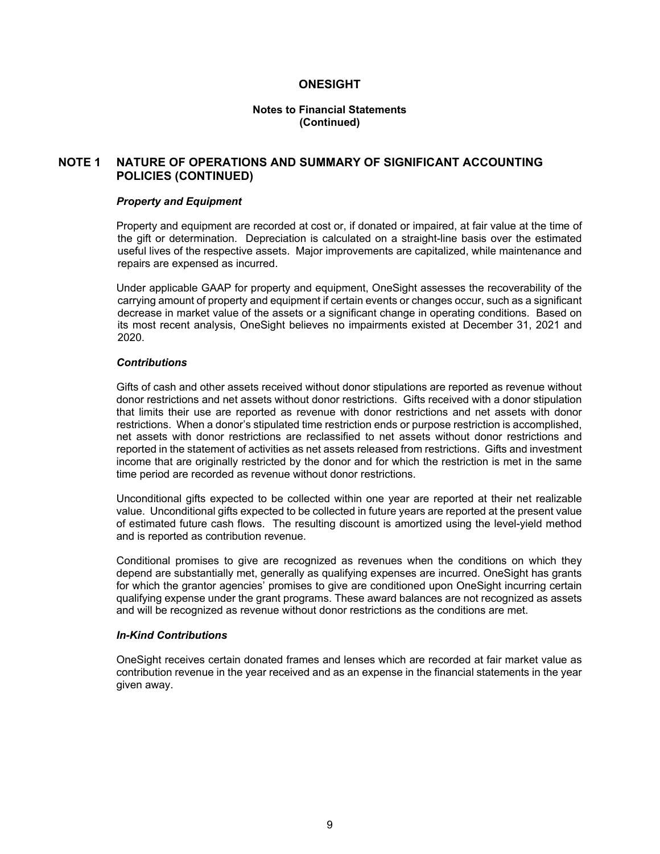## **Notes to Financial Statements (Continued)**

## **NOTE 1 NATURE OF OPERATIONS AND SUMMARY OF SIGNIFICANT ACCOUNTING POLICIES (CONTINUED)**

#### *Property and Equipment*

 Property and equipment are recorded at cost or, if donated or impaired, at fair value at the time of the gift or determination. Depreciation is calculated on a straight-line basis over the estimated useful lives of the respective assets. Major improvements are capitalized, while maintenance and repairs are expensed as incurred.

 Under applicable GAAP for property and equipment, OneSight assesses the recoverability of the carrying amount of property and equipment if certain events or changes occur, such as a significant decrease in market value of the assets or a significant change in operating conditions. Based on its most recent analysis, OneSight believes no impairments existed at December 31, 2021 and 2020.

## *Contributions*

 Gifts of cash and other assets received without donor stipulations are reported as revenue without donor restrictions and net assets without donor restrictions. Gifts received with a donor stipulation that limits their use are reported as revenue with donor restrictions and net assets with donor restrictions. When a donor's stipulated time restriction ends or purpose restriction is accomplished, net assets with donor restrictions are reclassified to net assets without donor restrictions and reported in the statement of activities as net assets released from restrictions. Gifts and investment income that are originally restricted by the donor and for which the restriction is met in the same time period are recorded as revenue without donor restrictions.

 Unconditional gifts expected to be collected within one year are reported at their net realizable value. Unconditional gifts expected to be collected in future years are reported at the present value of estimated future cash flows. The resulting discount is amortized using the level-yield method and is reported as contribution revenue.

 Conditional promises to give are recognized as revenues when the conditions on which they depend are substantially met, generally as qualifying expenses are incurred. OneSight has grants for which the grantor agencies' promises to give are conditioned upon OneSight incurring certain qualifying expense under the grant programs. These award balances are not recognized as assets and will be recognized as revenue without donor restrictions as the conditions are met.

## *In-Kind Contributions*

OneSight receives certain donated frames and lenses which are recorded at fair market value as contribution revenue in the year received and as an expense in the financial statements in the year given away.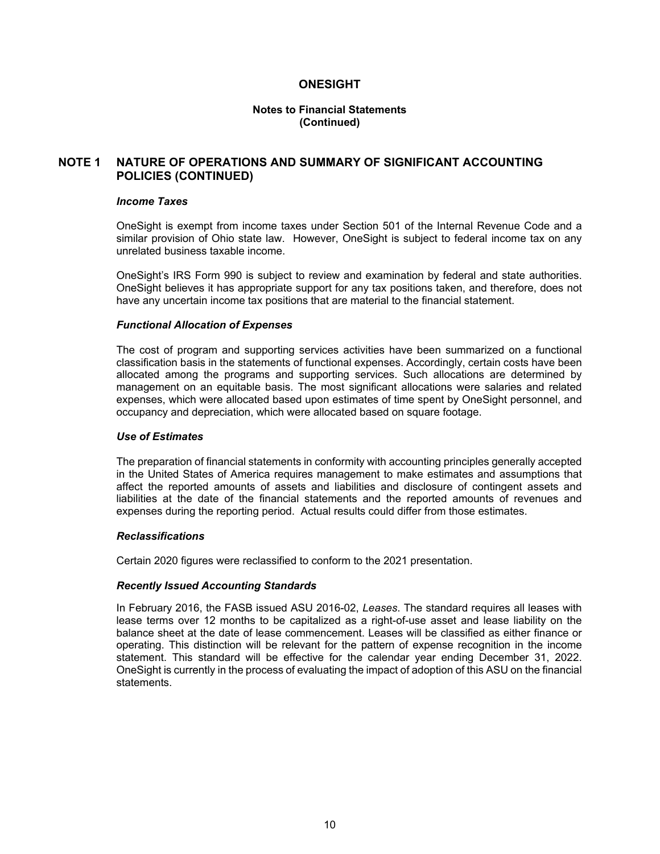## **Notes to Financial Statements (Continued)**

## **NOTE 1 NATURE OF OPERATIONS AND SUMMARY OF SIGNIFICANT ACCOUNTING POLICIES (CONTINUED)**

#### *Income Taxes*

 OneSight is exempt from income taxes under Section 501 of the Internal Revenue Code and a similar provision of Ohio state law. However, OneSight is subject to federal income tax on any unrelated business taxable income.

 OneSight's IRS Form 990 is subject to review and examination by federal and state authorities. OneSight believes it has appropriate support for any tax positions taken, and therefore, does not have any uncertain income tax positions that are material to the financial statement.

#### *Functional Allocation of Expenses*

 The cost of program and supporting services activities have been summarized on a functional classification basis in the statements of functional expenses. Accordingly, certain costs have been allocated among the programs and supporting services. Such allocations are determined by management on an equitable basis. The most significant allocations were salaries and related expenses, which were allocated based upon estimates of time spent by OneSight personnel, and occupancy and depreciation, which were allocated based on square footage.

#### *Use of Estimates*

The preparation of financial statements in conformity with accounting principles generally accepted in the United States of America requires management to make estimates and assumptions that affect the reported amounts of assets and liabilities and disclosure of contingent assets and liabilities at the date of the financial statements and the reported amounts of revenues and expenses during the reporting period. Actual results could differ from those estimates.

#### *Reclassifications*

Certain 2020 figures were reclassified to conform to the 2021 presentation.

## *Recently Issued Accounting Standards*

 In February 2016, the FASB issued ASU 2016-02, *Leases*. The standard requires all leases with lease terms over 12 months to be capitalized as a right-of-use asset and lease liability on the balance sheet at the date of lease commencement. Leases will be classified as either finance or operating. This distinction will be relevant for the pattern of expense recognition in the income statement. This standard will be effective for the calendar year ending December 31, 2022. OneSight is currently in the process of evaluating the impact of adoption of this ASU on the financial statements.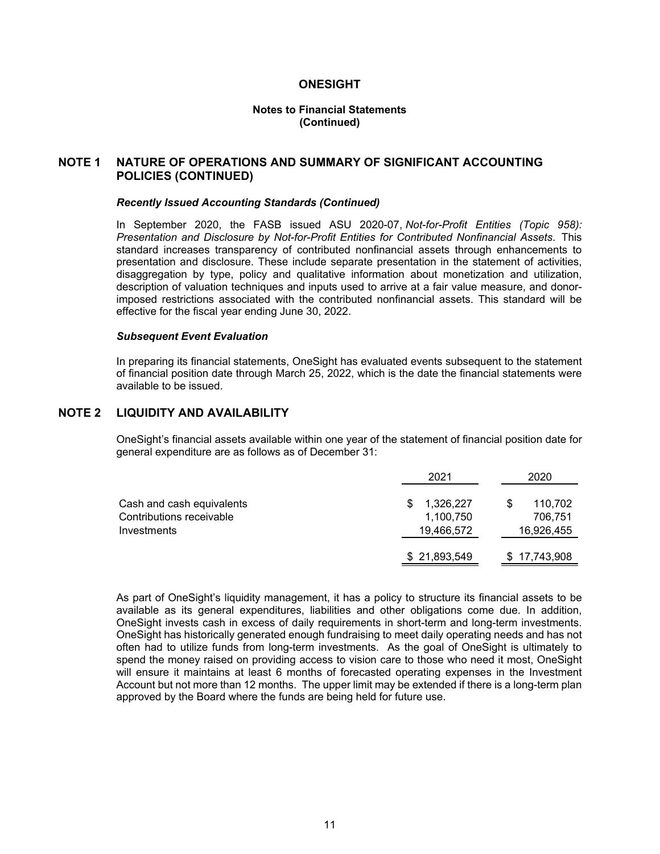#### **Notes to Financial Statements (Continued)**

## **NOTE 1 NATURE OF OPERATIONS AND SUMMARY OF SIGNIFICANT ACCOUNTING POLICIES (CONTINUED)**

#### *Recently Issued Accounting Standards (Continued)*

 In September 2020, the FASB issued ASU 2020-07, *Not-for-Profit Entities (Topic 958): Presentation and Disclosure by Not-for-Profit Entities for Contributed Nonfinancial Assets*. This standard increases transparency of contributed nonfinancial assets through enhancements to presentation and disclosure. These include separate presentation in the statement of activities, disaggregation by type, policy and qualitative information about monetization and utilization, description of valuation techniques and inputs used to arrive at a fair value measure, and donorimposed restrictions associated with the contributed nonfinancial assets. This standard will be effective for the fiscal year ending June 30, 2022.

#### *Subsequent Event Evaluation*

 In preparing its financial statements, OneSight has evaluated events subsequent to the statement of financial position date through March 25, 2022, which is the date the financial statements were available to be issued.

## **NOTE 2 LIQUIDITY AND AVAILABILITY**

OneSight's financial assets available within one year of the statement of financial position date for general expenditure are as follows as of December 31:

|                                                                      | 2021                                 | 2020                                   |
|----------------------------------------------------------------------|--------------------------------------|----------------------------------------|
| Cash and cash equivalents<br>Contributions receivable<br>Investments | 1,326,227<br>1,100,750<br>19,466,572 | 110,702<br>\$<br>706.751<br>16,926,455 |
|                                                                      | \$21,893,549                         | \$17,743,908                           |

As part of OneSight's liquidity management, it has a policy to structure its financial assets to be available as its general expenditures, liabilities and other obligations come due. In addition, OneSight invests cash in excess of daily requirements in short-term and long-term investments. OneSight has historically generated enough fundraising to meet daily operating needs and has not often had to utilize funds from long-term investments. As the goal of OneSight is ultimately to spend the money raised on providing access to vision care to those who need it most, OneSight will ensure it maintains at least 6 months of forecasted operating expenses in the Investment Account but not more than 12 months. The upper limit may be extended if there is a long-term plan approved by the Board where the funds are being held for future use.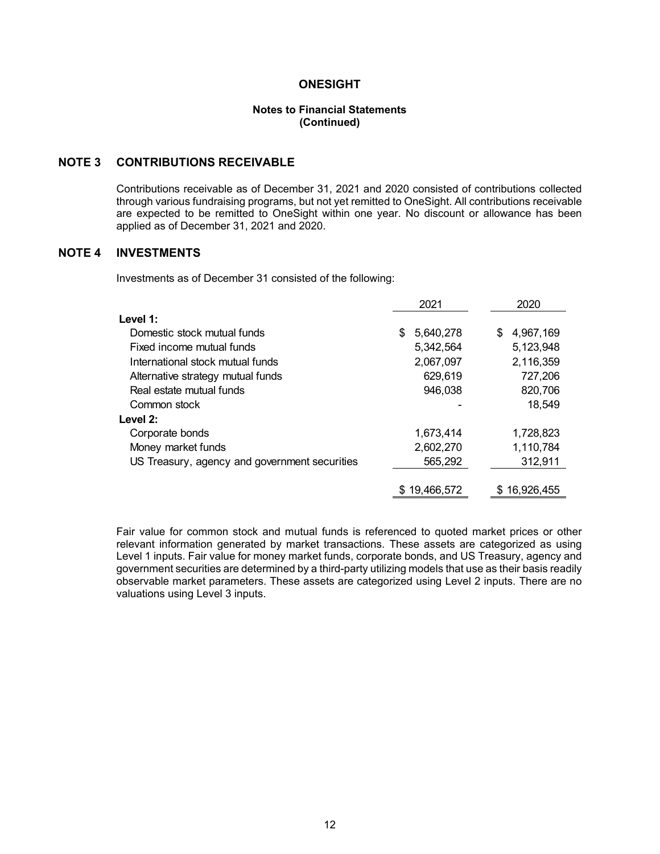#### **Notes to Financial Statements (Continued)**

## **NOTE 3 CONTRIBUTIONS RECEIVABLE**

Contributions receivable as of December 31, 2021 and 2020 consisted of contributions collected through various fundraising programs, but not yet remitted to OneSight. All contributions receivable are expected to be remitted to OneSight within one year. No discount or allowance has been applied as of December 31, 2021 and 2020.

## **NOTE 4 INVESTMENTS**

Investments as of December 31 consisted of the following:

|                                               | 2021            | 2020           |
|-----------------------------------------------|-----------------|----------------|
| Level 1:                                      |                 |                |
| Domestic stock mutual funds                   | \$<br>5,640,278 | 4,967,169<br>S |
| Fixed income mutual funds                     | 5,342,564       | 5,123,948      |
| International stock mutual funds              | 2,067,097       | 2,116,359      |
| Alternative strategy mutual funds             | 629,619         | 727,206        |
| Real estate mutual funds                      | 946,038         | 820,706        |
| Common stock                                  |                 | 18,549         |
| Level 2:                                      |                 |                |
| Corporate bonds                               | 1,673,414       | 1,728,823      |
| Money market funds                            | 2,602,270       | 1,110,784      |
| US Treasury, agency and government securities | 565,292         | 312,911        |
|                                               |                 |                |
|                                               | \$19,466,572    | \$16,926,455   |

Fair value for common stock and mutual funds is referenced to quoted market prices or other relevant information generated by market transactions. These assets are categorized as using Level 1 inputs. Fair value for money market funds, corporate bonds, and US Treasury, agency and government securities are determined by a third-party utilizing models that use as their basis readily observable market parameters. These assets are categorized using Level 2 inputs. There are no valuations using Level 3 inputs.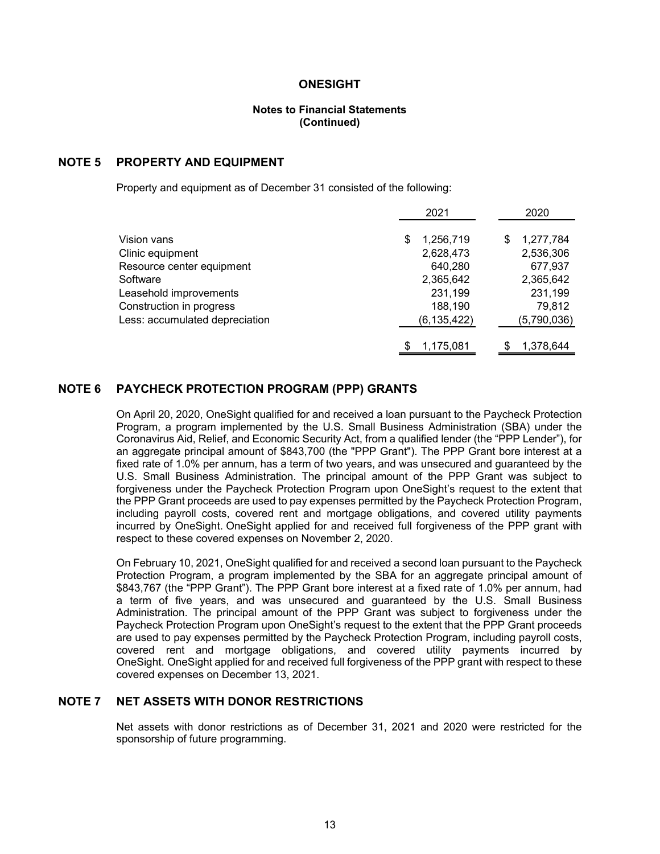#### **Notes to Financial Statements (Continued)**

## **NOTE 5 PROPERTY AND EQUIPMENT**

Property and equipment as of December 31 consisted of the following:

|                                | 2021            | 2020            |
|--------------------------------|-----------------|-----------------|
|                                |                 |                 |
| Vision vans                    | 1,256,719<br>\$ | 1,277,784<br>\$ |
| Clinic equipment               | 2,628,473       | 2,536,306       |
| Resource center equipment      | 640,280         | 677,937         |
| Software                       | 2,365,642       | 2,365,642       |
| Leasehold improvements         | 231,199         | 231,199         |
| Construction in progress       | 188,190         | 79,812          |
| Less: accumulated depreciation | (6, 135, 422)   | (5,790,036)     |
|                                |                 |                 |
|                                | 1,175,081       | 1,378,644       |

## **NOTE 6 PAYCHECK PROTECTION PROGRAM (PPP) GRANTS**

On April 20, 2020, OneSight qualified for and received a loan pursuant to the Paycheck Protection Program, a program implemented by the U.S. Small Business Administration (SBA) under the Coronavirus Aid, Relief, and Economic Security Act, from a qualified lender (the "PPP Lender"), for an aggregate principal amount of \$843,700 (the "PPP Grant"). The PPP Grant bore interest at a fixed rate of 1.0% per annum, has a term of two years, and was unsecured and guaranteed by the U.S. Small Business Administration. The principal amount of the PPP Grant was subject to forgiveness under the Paycheck Protection Program upon OneSight's request to the extent that the PPP Grant proceeds are used to pay expenses permitted by the Paycheck Protection Program, including payroll costs, covered rent and mortgage obligations, and covered utility payments incurred by OneSight. OneSight applied for and received full forgiveness of the PPP grant with respect to these covered expenses on November 2, 2020.

On February 10, 2021, OneSight qualified for and received a second loan pursuant to the Paycheck Protection Program, a program implemented by the SBA for an aggregate principal amount of \$843,767 (the "PPP Grant"). The PPP Grant bore interest at a fixed rate of 1.0% per annum, had a term of five years, and was unsecured and guaranteed by the U.S. Small Business Administration. The principal amount of the PPP Grant was subject to forgiveness under the Paycheck Protection Program upon OneSight's request to the extent that the PPP Grant proceeds are used to pay expenses permitted by the Paycheck Protection Program, including payroll costs, covered rent and mortgage obligations, and covered utility payments incurred by OneSight. OneSight applied for and received full forgiveness of the PPP grant with respect to these covered expenses on December 13, 2021.

## **NOTE 7 NET ASSETS WITH DONOR RESTRICTIONS**

Net assets with donor restrictions as of December 31, 2021 and 2020 were restricted for the sponsorship of future programming.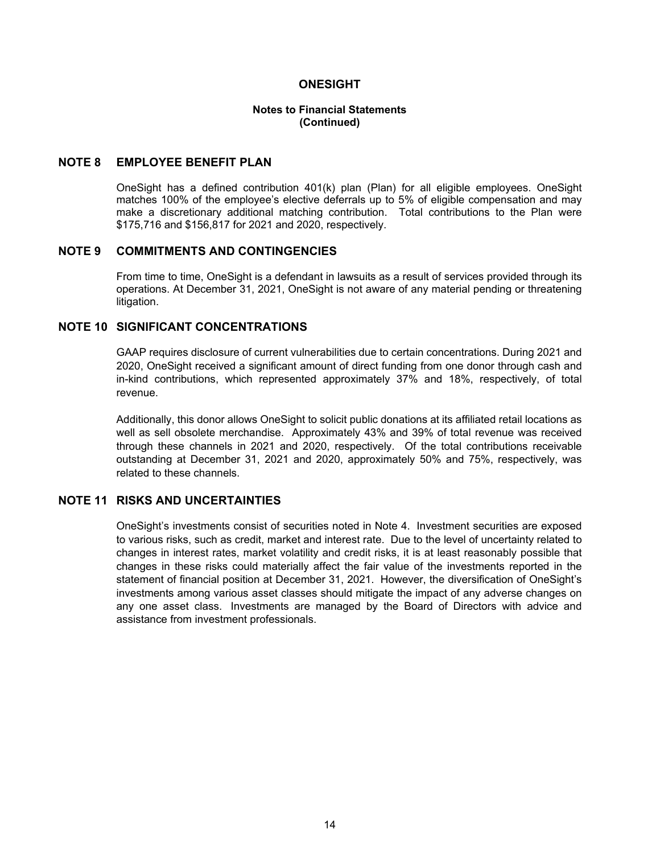## **Notes to Financial Statements (Continued)**

## **NOTE 8 EMPLOYEE BENEFIT PLAN**

OneSight has a defined contribution 401(k) plan (Plan) for all eligible employees. OneSight matches 100% of the employee's elective deferrals up to 5% of eligible compensation and may make a discretionary additional matching contribution. Total contributions to the Plan were \$175,716 and \$156,817 for 2021 and 2020, respectively.

## **NOTE 9 COMMITMENTS AND CONTINGENCIES**

 From time to time, OneSight is a defendant in lawsuits as a result of services provided through its operations. At December 31, 2021, OneSight is not aware of any material pending or threatening litigation.

## **NOTE 10 SIGNIFICANT CONCENTRATIONS**

GAAP requires disclosure of current vulnerabilities due to certain concentrations. During 2021 and 2020, OneSight received a significant amount of direct funding from one donor through cash and in-kind contributions, which represented approximately 37% and 18%, respectively, of total revenue.

Additionally, this donor allows OneSight to solicit public donations at its affiliated retail locations as well as sell obsolete merchandise. Approximately 43% and 39% of total revenue was received through these channels in 2021 and 2020, respectively. Of the total contributions receivable outstanding at December 31, 2021 and 2020, approximately 50% and 75%, respectively, was related to these channels.

## **NOTE 11 RISKS AND UNCERTAINTIES**

OneSight's investments consist of securities noted in Note 4. Investment securities are exposed to various risks, such as credit, market and interest rate. Due to the level of uncertainty related to changes in interest rates, market volatility and credit risks, it is at least reasonably possible that changes in these risks could materially affect the fair value of the investments reported in the statement of financial position at December 31, 2021. However, the diversification of OneSight's investments among various asset classes should mitigate the impact of any adverse changes on any one asset class. Investments are managed by the Board of Directors with advice and assistance from investment professionals.